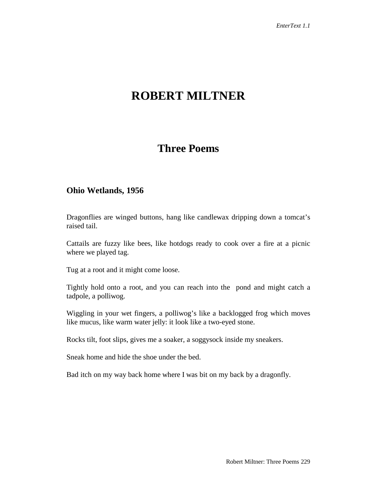# **ROBERT MILTNER**

## **Three Poems**

#### **Ohio Wetlands, 1956**

Dragonflies are winged buttons, hang like candlewax dripping down a tomcat's raised tail.

Cattails are fuzzy like bees, like hotdogs ready to cook over a fire at a picnic where we played tag.

Tug at a root and it might come loose.

Tightly hold onto a root, and you can reach into the pond and might catch a tadpole, a polliwog.

Wiggling in your wet fingers, a polliwog's like a backlogged frog which moves like mucus, like warm water jelly: it look like a two-eyed stone.

Rocks tilt, foot slips, gives me a soaker, a soggysock inside my sneakers.

Sneak home and hide the shoe under the bed.

Bad itch on my way back home where I was bit on my back by a dragonfly.